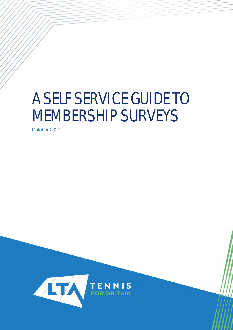# A SELF SERVICE GUIDE TO MEMBERSHIP SURVEYS

October 2020

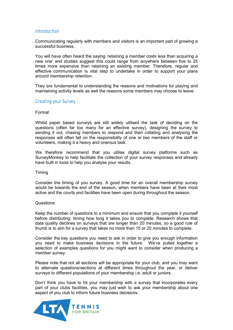# **Introduction**

Communicating regularly with members and visitors is an important part of growing a successful business.

You will have often heard the saying 'retaining a member costs less than acquiring a new one' and studies suggest this could range from anywhere between five to 25 times more expensive than retaining an existing member. Therefore, regular and effective communication is vital step to undertake in order to support your plans around membership retention.

They are fundamental to understanding the reasons and motivations for playing and maintaining activity levels as well the reasons some members may choose to leave.

#### Creating your Survey

#### Format

Whilst paper based surveys are still widely utilised the task of deciding on the questions (often far too many for an effective survey), designing the survey to sending it out, chasing members to respond and then collating and analysing the responses will often fall on the responsibility of one or two members of the staff or volunteers, making it a heavy and onerous task.

We therefore recommend that you utilise digital survey platforms such as SurveyMonkey to help facilitate the collection of your survey responses and already have built in tools to help you analyse your results.

Timing

Consider the timing of you survey. A good time for an overall membership survey would be towards the end of the season, when members have been at their most active and the courts and facilities have been open during throughout the season.

#### Questions

Keep the number of questions to a minimum and ensure that you complete it yourself before distributing; timing how long it takes you to complete. Research shows that data quality declines on surveys that are longer than 20 minutes, so a good rule of thumb is to aim for a survey that takes no more than 15 or 20 minutes to complete.

Consider the key questions you need to ask in order to give you enough information you need to make business decisions in the future. We've pulled together a selection of examples questions for you might want to consider when producing a member survey.

Please note that not all sections will be appropriate for your club, and you may want to alternate questions/sections at different times throughout the year, or deliver surveys to different populations of your membership i.e. adult or juniors.

Don't think you have to hit your membership with a survey that incorporates every part of your clubs facilities, you may just wish to ask your membership about one aspect of you club to inform future business decisions.

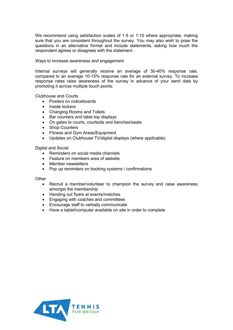We recommend using satisfaction scales of 1-5 or 1-10 where appropriate, making sure that you are consistent throughout the survey. You may also wish to pose the questions in an alternative format and include statements, asking how much the respondent agrees or disagrees with the statement.

#### Ways to increase awareness and engagement

Internal surveys will generally receive an average of 30-40% response rate, compared to an average 10-15% response rate for an external survey. To increase response rates raise awareness of the survey in advance of your send date by promoting it across multiple touch points:

Clubhouse and Courts

- Posters on noticeboards
- Inside lockers
- Changing Rooms and Toilets
- Bar counters and table top displays
- On gates to courts, courtside and benches/seats
- Shop Counters
- Fitness and Gym Areas/Equipment
- Updates on Clubhouse TV/digital displays (where applicable)

Digital and Social

- Reminders on social media channels
- Feature on members area of website
- Member newsletters
- Pop up reminders on booking systems / confirmations

**Other** 

- Recruit a member/volunteer to champion the survey and raise awareness amongst the membership
- Handing out flyers at events/matches
- Engaging with coaches and committees
- Encourage staff to verbally communicate
- Have a tablet/computer available on site in order to complete

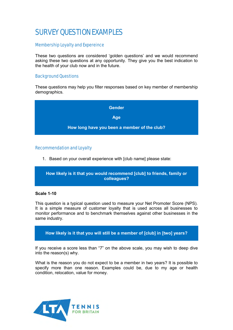# SURVEY OUESTION EXAMPLES

### Membership Loyalty and Expereince

These two questions are considered 'golden questions' and we would recommend asking these two questions at any opportunity. They give you the best indication to the health of your club now and in the future.

#### Background Questions

These questions may help you filter responses based on key member of membership demographics.



#### Recommendation and Loyalty

1. Based on your overall experience with [club name] please state:

**How likely is it that you would recommend [club] to friends, family or colleagues?**

#### **Scale 1-10**

This question is a typical question used to measure your Net Promoter Score (NPS). It is a simple measure of customer loyalty that is used across all businesses to monitor performance and to benchmark themselves against other businesses in the same industry.

**How likely is it that you will still be a member of [club] in [two] years?**

If you receive a score less than "7" on the above scale, you may wish to deep dive into the reason(s) why.

What is the reason you do not expect to be a member in two years? It is possible to specify more than one reason. Examples could be, due to my age or health condition, relocation, value for money.

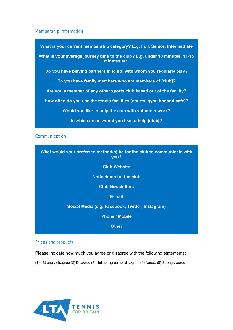#### Membership Information

**What is your current membership category? E.g. Full, Senior, Intermediate What is your average journey time to the club? E.g. under 10 minutes, 11-15 minutes etc. Do you have playing partners in [club] with whom you regularly play? Do you have family members who are members of [club]? Are you a member of any other sports club based out of the facility? How often do you use the tennis facilities (courts, gym, bar and cafe)? Would you like to help the club with volunteer work? In which areas would you like to help [club]?**

# **Communication**

| What would your preferred method(s) be for the club to communicate with<br>you? |
|---------------------------------------------------------------------------------|
| <b>Club Website</b>                                                             |
| <b>Noticeboard at the club</b>                                                  |
| <b>Club Newsletters</b>                                                         |
| E-mail                                                                          |
| Social Media (e.g. Facebook, Twitter, Instagram)                                |
| <b>Phone / Mobile</b>                                                           |
| <b>Other</b>                                                                    |

#### Prices and products

Please indicate how much you agree or disagree with the following statements:

(1) Strongly disagree (2) Disagree (3) Neither agree nor disagree; (4) Agree; (5) Strongly agree

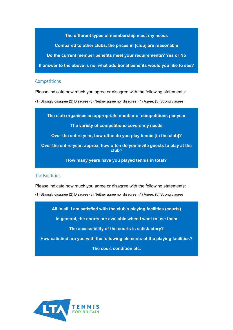**The different types of membership meet my needs Compared to other clubs, the prices in [club] are reasonable Do the current member benefits meet your requirements? Yes or No If answer to the above is no, what additional benefits would you like to see?**

#### **Competitions**

Please indicate how much you agree or disagree with the following statements:

(1) Strongly disagree (2) Disagree (3) Neither agree nor disagree; (4) Agree; (5) Strongly agree

**The club organises an appropriate number of competitions per year**

**The variety of competitions covers my needs**

**Over the entire year, how often do you play tennis [in the club]?**

**Over the entire year, approx. how often do you invite guests to play at the club?**

**How many years have you played tennis in total?**

#### The Facilities

Please indicate how much you agree or disagree with the following statements:

(1) Strongly disagree (2) Disagree (3) Neither agree nor disagree; (4) Agree; (5) Strongly agree

**All in all, I am satisfied with the club's playing facilities (courts)**

**In general, the courts are available when I want to use them**

**The accessibility of the courts is satisfactory?**

**How satisfied are you with the following elements of the playing facilities?**

**The court condition etc.**